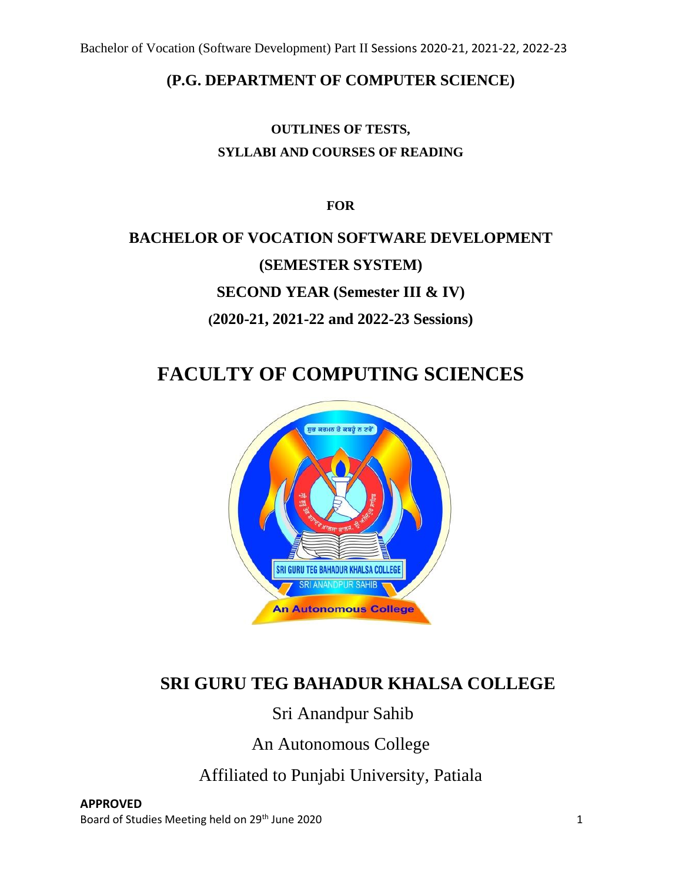### **(P.G. DEPARTMENT OF COMPUTER SCIENCE)**

## **OUTLINES OF TESTS, SYLLABI AND COURSES OF READING**

**FOR**

# **BACHELOR OF VOCATION SOFTWARE DEVELOPMENT (SEMESTER SYSTEM) SECOND YEAR (Semester III & IV) (2020-21, 2021-22 and 2022-23 Sessions)**

# **FACULTY OF COMPUTING SCIENCES**



# **SRI GURU TEG BAHADUR KHALSA COLLEGE**

# Sri Anandpur Sahib

An Autonomous College

Affiliated to Punjabi University, Patiala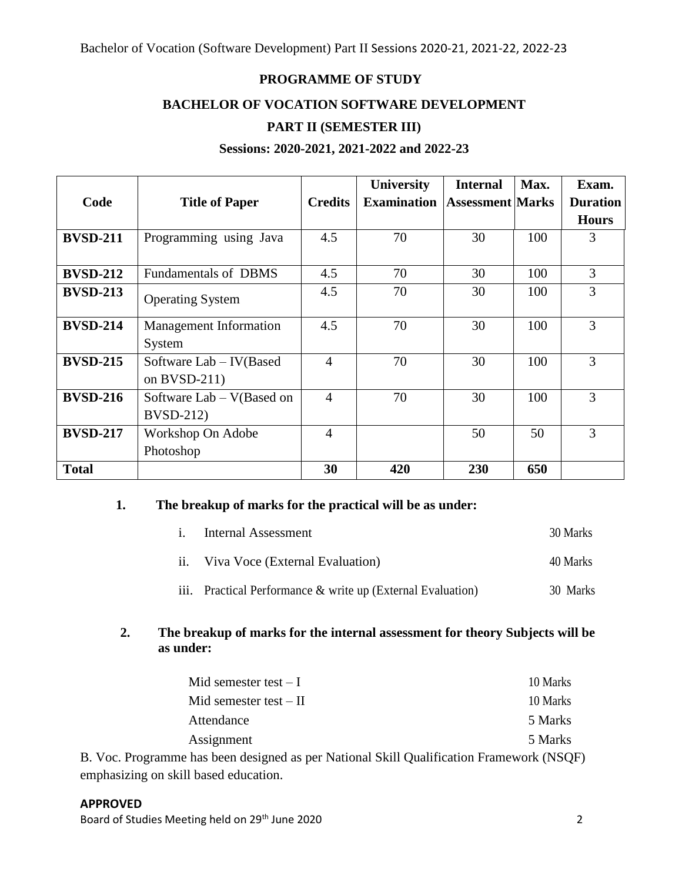#### **PROGRAMME OF STUDY**

#### **BACHELOR OF VOCATION SOFTWARE DEVELOPMENT**

#### **PART II (SEMESTER III)**

#### **Sessions: 2020-2021, 2021-2022 and 2022-23**

|                 |                                                  |                | <b>University</b>  | <b>Internal</b>         | Max. | Exam.           |
|-----------------|--------------------------------------------------|----------------|--------------------|-------------------------|------|-----------------|
| Code            | <b>Title of Paper</b>                            | <b>Credits</b> | <b>Examination</b> | <b>Assessment Marks</b> |      | <b>Duration</b> |
|                 |                                                  |                |                    |                         |      | <b>Hours</b>    |
| <b>BVSD-211</b> | Programming using Java                           | 4.5            | 70                 | 30                      | 100  | 3               |
| <b>BVSD-212</b> | <b>Fundamentals of DBMS</b>                      | 4.5            | 70                 | 30                      | 100  | 3               |
| <b>BVSD-213</b> | <b>Operating System</b>                          | 4.5            | 70                 | 30                      | 100  | 3               |
| <b>BVSD-214</b> | <b>Management Information</b><br>System          | 4.5            | 70                 | 30                      | 100  | 3               |
| <b>BVSD-215</b> | Software Lab - IV(Based<br>on $BVSD-211$         | $\overline{4}$ | 70                 | 30                      | 100  | 3               |
| <b>BVSD-216</b> | Software $Lab - V(Based)$ on<br><b>BVSD-212)</b> | $\overline{4}$ | 70                 | 30                      | 100  | 3               |
| <b>BVSD-217</b> | Workshop On Adobe<br>Photoshop                   | $\overline{4}$ |                    | 50                      | 50   | 3               |
| <b>Total</b>    |                                                  | 30             | 420                | 230                     | 650  |                 |

#### **1. The breakup of marks for the practical will be as under:**

| $\overline{1}$ . | Internal Assessment                                    | 30 Marks |
|------------------|--------------------------------------------------------|----------|
|                  | ii. Viva Voce (External Evaluation)                    | 40 Marks |
| iii.             | Practical Performance & write up (External Evaluation) | 30 Marks |

#### **2. The breakup of marks for the internal assessment for theory Subjects will be as under:**

| Mid semester test $-I$                                                                                                                                                                                                                                                                                                             | 10 Marks |
|------------------------------------------------------------------------------------------------------------------------------------------------------------------------------------------------------------------------------------------------------------------------------------------------------------------------------------|----------|
| Mid semester test $-II$                                                                                                                                                                                                                                                                                                            | 10 Marks |
| Attendance                                                                                                                                                                                                                                                                                                                         | 5 Marks  |
| Assignment                                                                                                                                                                                                                                                                                                                         | 5 Marks  |
| $\mathbf{1}$ $\mathbf{1}$ $\mathbf{1}$ $\mathbf{1}$ $\mathbf{1}$ $\mathbf{1}$ $\mathbf{1}$ $\mathbf{1}$ $\mathbf{1}$ $\mathbf{1}$ $\mathbf{1}$ $\mathbf{1}$ $\mathbf{1}$ $\mathbf{1}$ $\mathbf{1}$ $\mathbf{1}$ $\mathbf{1}$ $\mathbf{1}$ $\mathbf{1}$ $\mathbf{1}$ $\mathbf{1}$ $\mathbf{1}$ $\mathbf{1}$ $\mathbf{1}$ $\mathbf{$ | 1/1100   |

B. Voc. Programme has been designed as per National Skill Qualification Framework (NSQF) emphasizing on skill based education.

#### **APPROVED**

Board of Studies Meeting held on 29<sup>th</sup> June 2020 **2018** 2020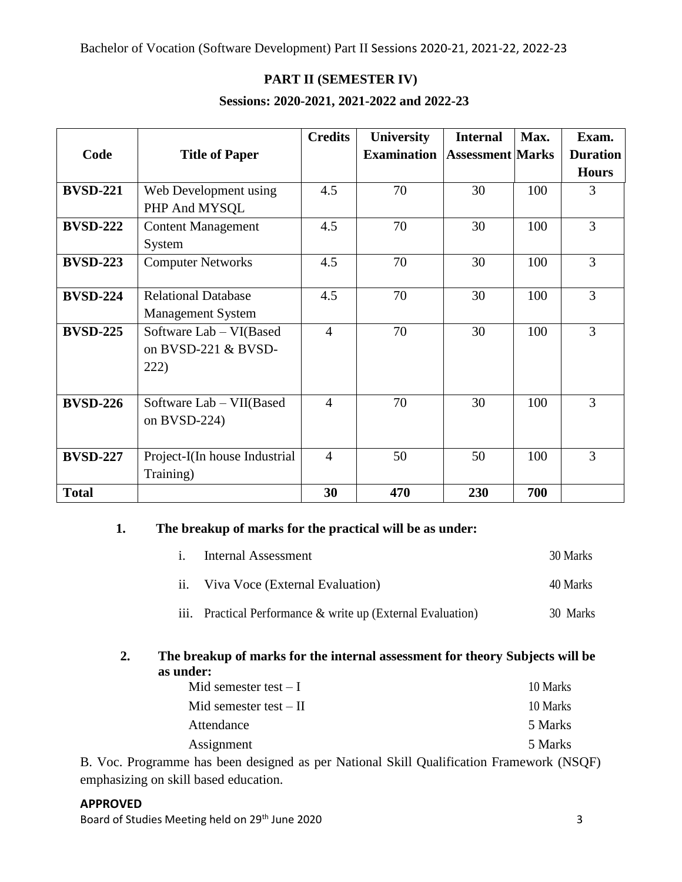#### **PART II (SEMESTER IV)**

#### **Sessions: 2020-2021, 2021-2022 and 2022-23**

|                 |                               | <b>Credits</b> | <b>University</b>  | <b>Internal</b>         | Max. | Exam.           |
|-----------------|-------------------------------|----------------|--------------------|-------------------------|------|-----------------|
| Code            | <b>Title of Paper</b>         |                | <b>Examination</b> | <b>Assessment Marks</b> |      | <b>Duration</b> |
|                 |                               |                |                    |                         |      | <b>Hours</b>    |
| <b>BVSD-221</b> | Web Development using         | 4.5            | 70                 | 30                      | 100  | 3               |
|                 | PHP And MYSQL                 |                |                    |                         |      |                 |
| <b>BVSD-222</b> | <b>Content Management</b>     | 4.5            | 70                 | 30                      | 100  | $\overline{3}$  |
|                 | System                        |                |                    |                         |      |                 |
| <b>BVSD-223</b> | <b>Computer Networks</b>      | 4.5            | 70                 | 30                      | 100  | 3               |
|                 |                               |                |                    |                         |      |                 |
| <b>BVSD-224</b> | <b>Relational Database</b>    | 4.5            | 70                 | 30                      | 100  | 3               |
|                 | <b>Management System</b>      |                |                    |                         |      |                 |
| <b>BVSD-225</b> | Software Lab – VI(Based       | $\overline{4}$ | 70                 | 30                      | 100  | 3               |
|                 | on BVSD-221 & BVSD-           |                |                    |                         |      |                 |
|                 | 222)                          |                |                    |                         |      |                 |
|                 |                               |                |                    |                         |      |                 |
| <b>BVSD-226</b> | Software Lab – VII(Based      | $\overline{4}$ | 70                 | 30                      | 100  | 3               |
|                 | on BVSD-224)                  |                |                    |                         |      |                 |
|                 |                               |                |                    |                         |      |                 |
| <b>BVSD-227</b> | Project-I(In house Industrial | $\overline{4}$ | 50                 | 50                      | 100  | 3               |
|                 | Training)                     |                |                    |                         |      |                 |
| <b>Total</b>    |                               | 30             | 470                | 230                     | 700  |                 |

#### **1. The breakup of marks for the practical will be as under:**

| <i>i.</i> Internal Assessment                               | 30 Marks |
|-------------------------------------------------------------|----------|
| ii. Viva Voce (External Evaluation)                         | 40 Marks |
| iii. Practical Performance & write up (External Evaluation) | 30 Marks |

#### **2. The breakup of marks for the internal assessment for theory Subjects will be as under:**

| Mid semester test $-I$   | 10 Marks |
|--------------------------|----------|
| Mid semester test $-$ II | 10 Marks |
| Attendance               | 5 Marks  |
| Assignment               | 5 Marks  |

B. Voc. Programme has been designed as per National Skill Qualification Framework (NSQF) emphasizing on skill based education.

#### **APPROVED**

Board of Studies Meeting held on 29<sup>th</sup> June 2020 3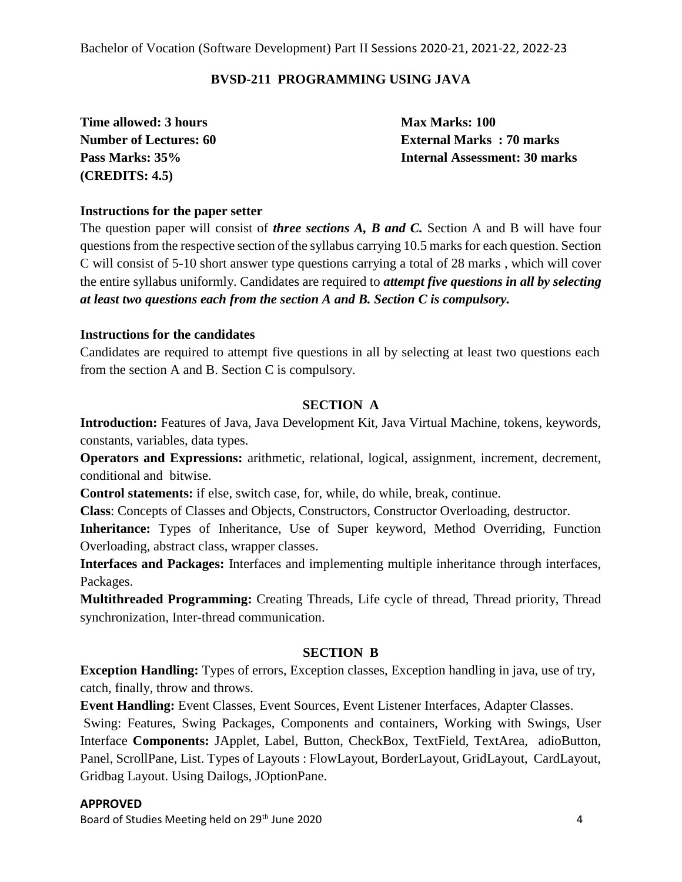#### **BVSD-211 PROGRAMMING USING JAVA**

**Time allowed: 3 hours Max Marks: 100 (CREDITS: 4.5)**

**Number of Lectures: 60 External Marks : 70 marks Pass Marks: 35% Internal Assessment: 30 marks**

#### **Instructions for the paper setter**

The question paper will consist of *three sections A, B and C.* Section A and B will have four questions from the respective section of the syllabus carrying 10.5 marks for each question. Section C will consist of 5-10 short answer type questions carrying a total of 28 marks , which will cover the entire syllabus uniformly. Candidates are required to *attempt five questions in all by selecting at least two questions each from the section A and B. Section C is compulsory.*

#### **Instructions for the candidates**

Candidates are required to attempt five questions in all by selecting at least two questions each from the section A and B. Section C is compulsory.

#### **SECTION A**

**Introduction:** Features of Java, Java Development Kit, Java Virtual Machine, tokens, keywords, constants, variables, data types.

**Operators and Expressions:** arithmetic, relational, logical, assignment, increment, decrement, conditional and bitwise.

**Control statements:** if else, switch case, for, while, do while, break, continue.

**Class**: Concepts of Classes and Objects, Constructors, Constructor Overloading, destructor.

**Inheritance:** Types of Inheritance, Use of Super keyword, Method Overriding, Function Overloading, abstract class, wrapper classes.

**Interfaces and Packages:** Interfaces and implementing multiple inheritance through interfaces, Packages.

**Multithreaded Programming:** Creating Threads, Life cycle of thread, Thread priority, Thread synchronization, Inter-thread communication.

#### **SECTION B**

**Exception Handling:** Types of errors, Exception classes, Exception handling in java, use of try, catch, finally, throw and throws.

**Event Handling:** Event Classes, Event Sources, Event Listener Interfaces, Adapter Classes.

Swing: Features, Swing Packages, Components and containers, Working with Swings, User Interface **Components:** JApplet, Label, Button, CheckBox, TextField, TextArea, adioButton, Panel, ScrollPane, List. Types of Layouts : FlowLayout, BorderLayout, GridLayout, CardLayout, Gridbag Layout. Using Dailogs, JOptionPane.

#### **APPROVED**

Board of Studies Meeting held on 29<sup>th</sup> June 2020 **18 Australian Control 18 Australian Australian Australian Australian Australian Australian Australian Australian Australian Australian Australian Australian Australian Aus**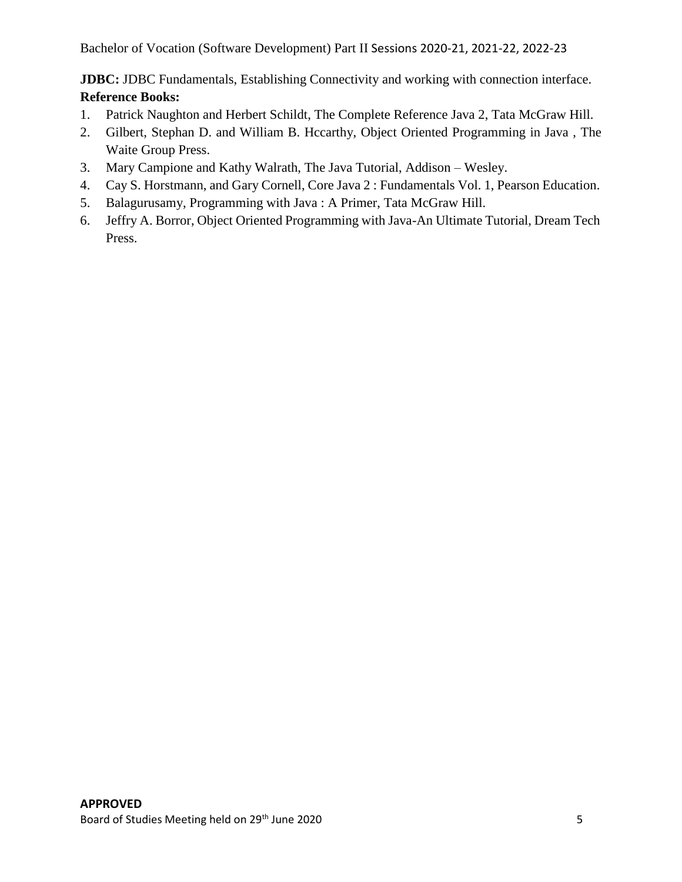**JDBC:** JDBC Fundamentals, Establishing Connectivity and working with connection interface. **Reference Books:**

- 1. Patrick Naughton and Herbert Schildt, The Complete Reference Java 2, Tata McGraw Hill.
- 2. Gilbert, Stephan D. and William B. Hccarthy, Object Oriented Programming in Java , The Waite Group Press.
- 3. Mary Campione and Kathy Walrath, The Java Tutorial, Addison Wesley.
- 4. Cay S. Horstmann, and Gary Cornell, Core Java 2 : Fundamentals Vol. 1, Pearson Education.
- 5. Balagurusamy, Programming with Java : A Primer, Tata McGraw Hill.
- 6. Jeffry A. Borror, Object Oriented Programming with Java-An Ultimate Tutorial, Dream Tech Press.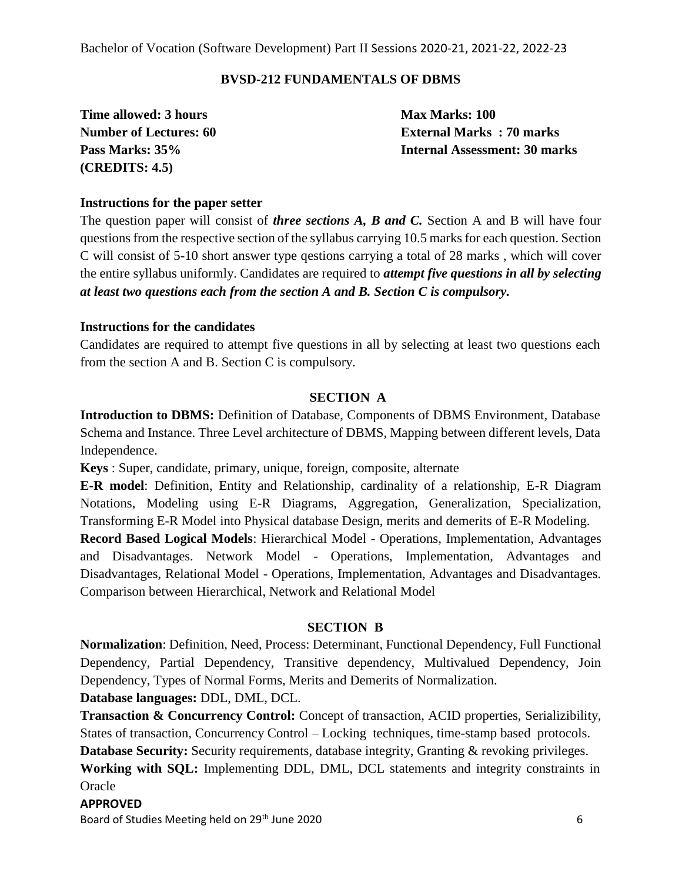#### **BVSD-212 FUNDAMENTALS OF DBMS**

**Time allowed: 3 hours Max Marks: 100 (CREDITS: 4.5)**

**Number of Lectures: 60 External Marks : 70 marks Pass Marks: 35% Internal Assessment: 30 marks**

#### **Instructions for the paper setter**

The question paper will consist of *three sections A, B and C.* Section A and B will have four questions from the respective section of the syllabus carrying 10.5 marks for each question. Section C will consist of 5-10 short answer type qestions carrying a total of 28 marks , which will cover the entire syllabus uniformly. Candidates are required to *attempt five questions in all by selecting at least two questions each from the section A and B. Section C is compulsory.*

#### **Instructions for the candidates**

Candidates are required to attempt five questions in all by selecting at least two questions each from the section A and B. Section C is compulsory.

#### **SECTION A**

**Introduction to DBMS:** Definition of Database, Components of DBMS Environment, Database Schema and Instance. Three Level architecture of DBMS, Mapping between different levels, Data Independence.

**Keys** : Super, candidate, primary, unique, foreign, composite, alternate

**E-R model**: Definition, Entity and Relationship, cardinality of a relationship, E-R Diagram Notations, Modeling using E-R Diagrams, Aggregation, Generalization, Specialization, Transforming E-R Model into Physical database Design, merits and demerits of E-R Modeling.

**Record Based Logical Models**: Hierarchical Model - Operations, Implementation, Advantages and Disadvantages. Network Model - Operations, Implementation, Advantages and Disadvantages, Relational Model - Operations, Implementation, Advantages and Disadvantages. Comparison between Hierarchical, Network and Relational Model

#### **SECTION B**

**Normalization**: Definition, Need, Process: Determinant, Functional Dependency, Full Functional Dependency, Partial Dependency, Transitive dependency, Multivalued Dependency, Join Dependency, Types of Normal Forms, Merits and Demerits of Normalization.

#### **Database languages:** DDL, DML, DCL.

**Transaction & Concurrency Control:** Concept of transaction, ACID properties, Serializibility, States of transaction, Concurrency Control – Locking techniques, time-stamp based protocols.

**Database Security:** Security requirements, database integrity, Granting & revoking privileges.

**Working with SQL:** Implementing DDL, DML, DCL statements and integrity constraints in **Oracle** 

#### **APPROVED**

Board of Studies Meeting held on 29<sup>th</sup> June 2020 6 6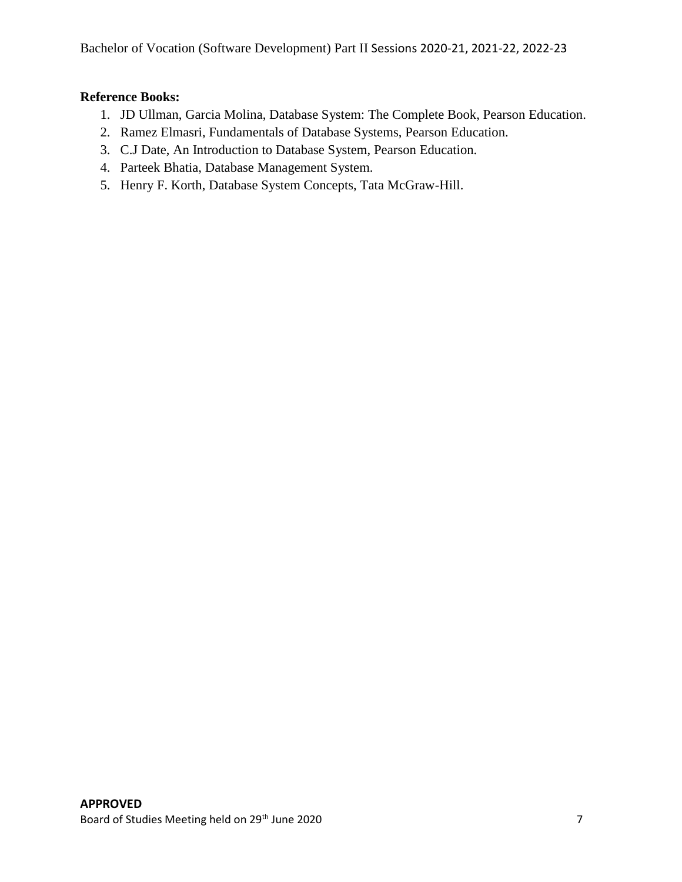#### **Reference Books:**

- 1. JD Ullman, Garcia Molina, Database System: The Complete Book, Pearson Education.
- 2. Ramez Elmasri, Fundamentals of Database Systems, Pearson Education.
- 3. C.J Date, An Introduction to Database System, Pearson Education.
- 4. Parteek Bhatia, Database Management System.
- 5. Henry F. Korth, Database System Concepts, Tata McGraw-Hill.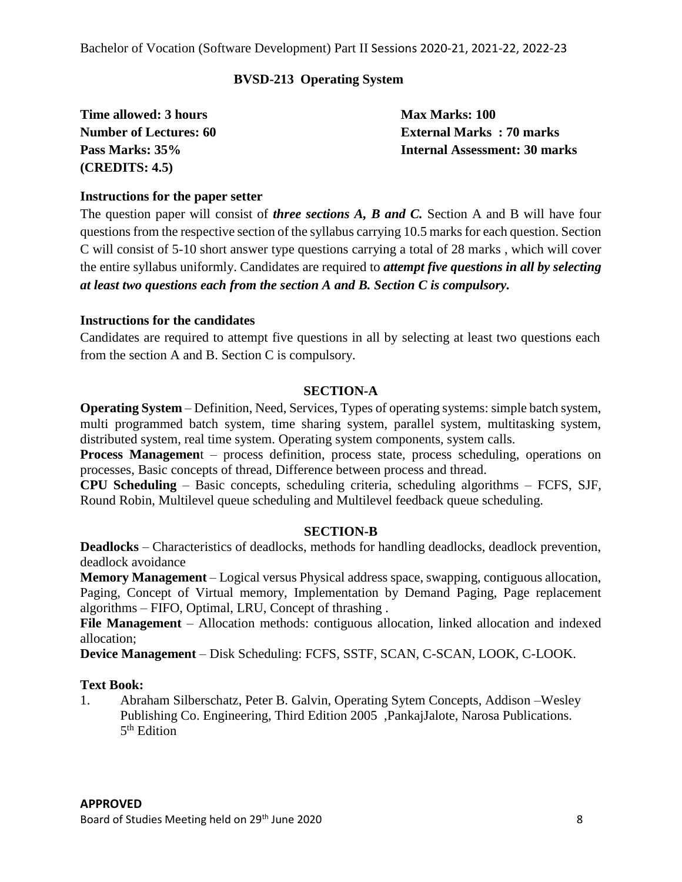#### **BVSD-213 Operating System**

| Time allowed: 3 hours         | <b>Max Marks: 100</b>                |
|-------------------------------|--------------------------------------|
| <b>Number of Lectures: 60</b> | <b>External Marks: 70 marks</b>      |
| Pass Marks: 35%               | <b>Internal Assessment: 30 marks</b> |
| (CREDITS: 4.5)                |                                      |

#### **Instructions for the paper setter**

The question paper will consist of *three sections A, B and C.* Section A and B will have four questions from the respective section of the syllabus carrying 10.5 marks for each question. Section C will consist of 5-10 short answer type questions carrying a total of 28 marks , which will cover the entire syllabus uniformly. Candidates are required to *attempt five questions in all by selecting at least two questions each from the section A and B. Section C is compulsory.*

#### **Instructions for the candidates**

Candidates are required to attempt five questions in all by selecting at least two questions each from the section A and B. Section C is compulsory.

#### **SECTION-A**

**Operating System** – Definition, Need, Services, Types of operating systems: simple batch system, multi programmed batch system, time sharing system, parallel system, multitasking system, distributed system, real time system. Operating system components, system calls.

**Process Management** – process definition, process state, process scheduling, operations on processes, Basic concepts of thread, Difference between process and thread.

**CPU Scheduling** – Basic concepts, scheduling criteria, scheduling algorithms – FCFS, SJF, Round Robin, Multilevel queue scheduling and Multilevel feedback queue scheduling.

#### **SECTION-B**

**Deadlocks** – Characteristics of deadlocks, methods for handling deadlocks, deadlock prevention, deadlock avoidance

**Memory Management** – Logical versus Physical address space, swapping, contiguous allocation, Paging, Concept of Virtual memory, Implementation by Demand Paging, Page replacement algorithms – FIFO, Optimal, LRU, Concept of thrashing .

**File Management** – Allocation methods: contiguous allocation, linked allocation and indexed allocation;

**Device Management** – Disk Scheduling: FCFS, SSTF, SCAN, C-SCAN, LOOK, C-LOOK.

#### **Text Book:**

1. Abraham Silberschatz, Peter B. Galvin, Operating Sytem Concepts, Addison –Wesley Publishing Co. Engineering, Third Edition 2005 ,PankajJalote, Narosa Publications. 5<sup>th</sup> Edition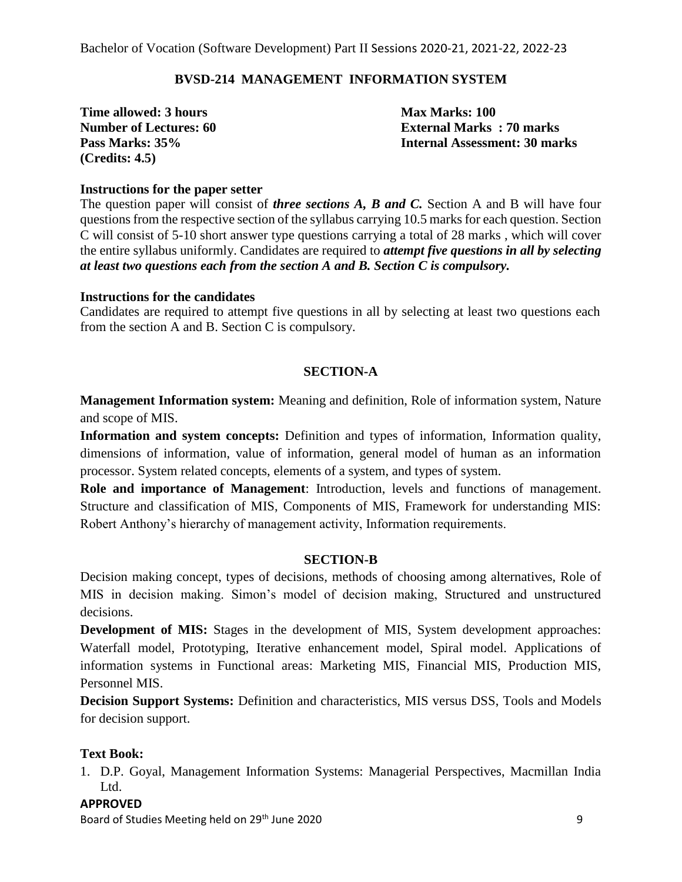#### **BVSD-214 MANAGEMENT INFORMATION SYSTEM**

**Time allowed: 3 hours Max Marks: 100 (Credits: 4.5)**

**Number of Lectures: 60 External Marks : 70 marks Pass Marks: 35% Internal Assessment: 30 marks**

#### **Instructions for the paper setter**

The question paper will consist of *three sections A, B and C.* Section A and B will have four questions from the respective section of the syllabus carrying 10.5 marks for each question. Section C will consist of 5-10 short answer type questions carrying a total of 28 marks , which will cover the entire syllabus uniformly. Candidates are required to *attempt five questions in all by selecting at least two questions each from the section A and B. Section C is compulsory.*

#### **Instructions for the candidates**

Candidates are required to attempt five questions in all by selecting at least two questions each from the section A and B. Section C is compulsory.

#### **SECTION-A**

**Management Information system:** Meaning and definition, Role of information system, Nature and scope of MIS.

**Information and system concepts:** Definition and types of information, Information quality, dimensions of information, value of information, general model of human as an information processor. System related concepts, elements of a system, and types of system.

**Role and importance of Management**: Introduction, levels and functions of management. Structure and classification of MIS, Components of MIS, Framework for understanding MIS: Robert Anthony's hierarchy of management activity, Information requirements.

#### **SECTION-B**

Decision making concept, types of decisions, methods of choosing among alternatives, Role of MIS in decision making. Simon's model of decision making, Structured and unstructured decisions.

**Development of MIS:** Stages in the development of MIS, System development approaches: Waterfall model, Prototyping, Iterative enhancement model, Spiral model. Applications of information systems in Functional areas: Marketing MIS, Financial MIS, Production MIS, Personnel MIS.

**Decision Support Systems:** Definition and characteristics, MIS versus DSS, Tools and Models for decision support.

#### **Text Book:**

1. D.P. Goyal, Management Information Systems: Managerial Perspectives, Macmillan India Ltd.

#### **APPROVED**

Board of Studies Meeting held on 29<sup>th</sup> June 2020 **9** Australian Method of Studies Meeting held on 29<sup>th</sup> June 2020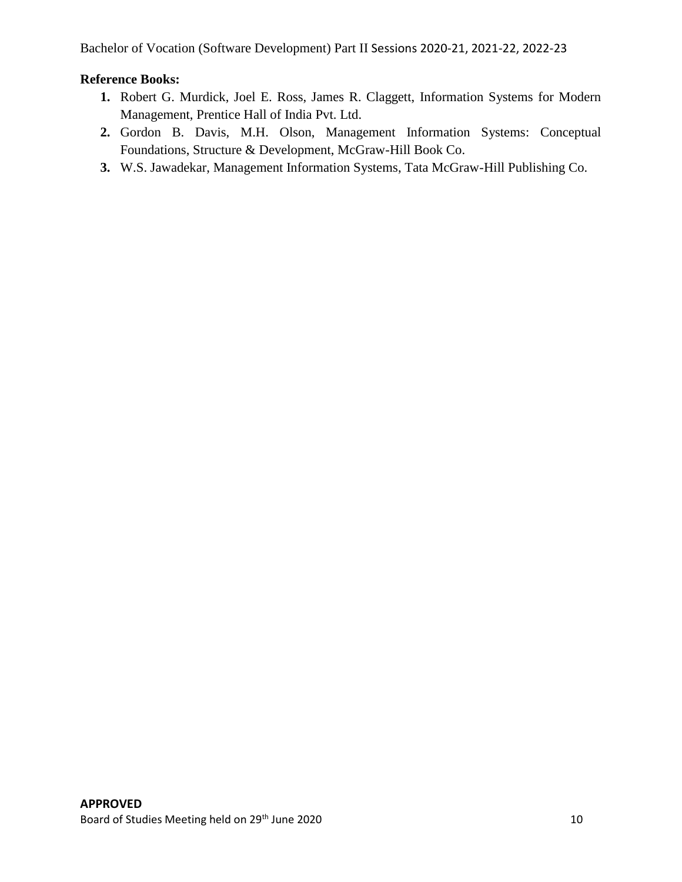#### **Reference Books:**

- **1.** Robert G. Murdick, Joel E. Ross, James R. Claggett, Information Systems for Modern Management, Prentice Hall of India Pvt. Ltd.
- **2.** Gordon B. Davis, M.H. Olson, Management Information Systems: Conceptual Foundations, Structure & Development, McGraw-Hill Book Co.
- **3.** W.S. Jawadekar, Management Information Systems, Tata McGraw-Hill Publishing Co.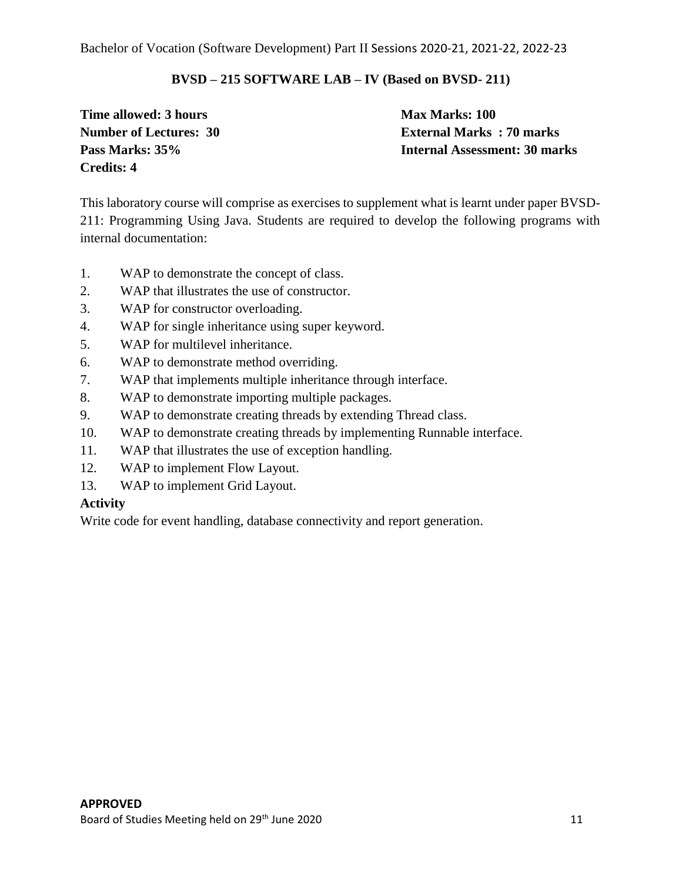#### **BVSD – 215 SOFTWARE LAB – IV (Based on BVSD- 211)**

**Time allowed: 3 hours Max Marks: 100 Credits: 4**

**Number of Lectures: 30 External Marks : 70 marks Pass Marks: 35% Internal Assessment: 30 marks**

This laboratory course will comprise as exercises to supplement what is learnt under paper BVSD-211: Programming Using Java. Students are required to develop the following programs with internal documentation:

- 1. WAP to demonstrate the concept of class.
- 2. WAP that illustrates the use of constructor.
- 3. WAP for constructor overloading.
- 4. WAP for single inheritance using super keyword.
- 5. WAP for multilevel inheritance.
- 6. WAP to demonstrate method overriding.
- 7. WAP that implements multiple inheritance through interface.
- 8. WAP to demonstrate importing multiple packages.
- 9. WAP to demonstrate creating threads by extending Thread class.
- 10. WAP to demonstrate creating threads by implementing Runnable interface.
- 11. WAP that illustrates the use of exception handling.
- 12. WAP to implement Flow Layout.
- 13. WAP to implement Grid Layout.

#### **Activity**

Write code for event handling, database connectivity and report generation.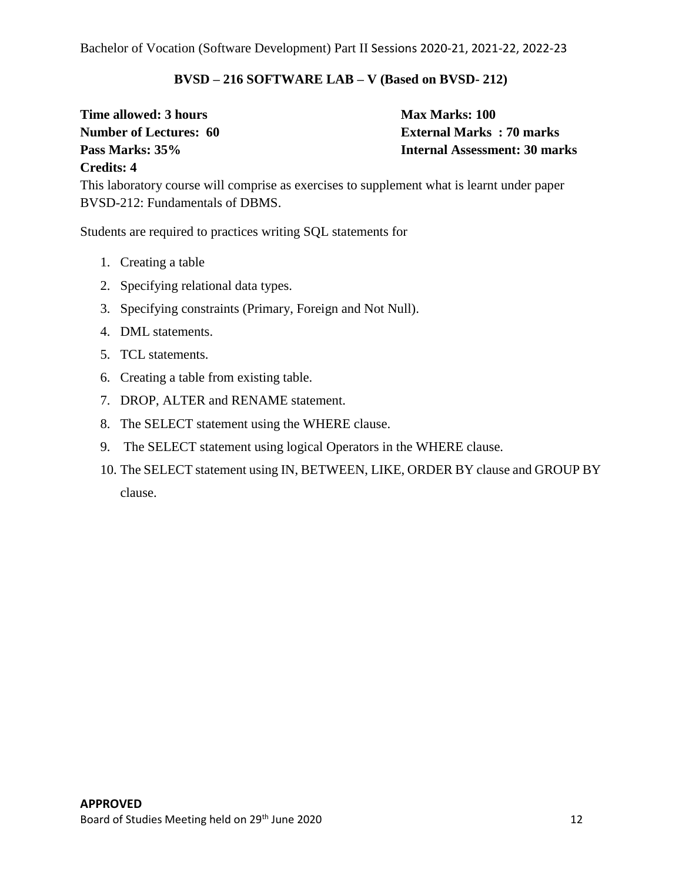#### **BVSD – 216 SOFTWARE LAB – V (Based on BVSD- 212)**

**Time allowed: 3 hours Max Marks: 100** 

**Number of Lectures: 60 External Marks : 70 marks Pass Marks: 35% Internal Assessment: 30 marks**

#### **Credits: 4**

This laboratory course will comprise as exercises to supplement what is learnt under paper BVSD-212: Fundamentals of DBMS.

Students are required to practices writing SQL statements for

- 1. Creating a table
- 2. Specifying relational data types.
- 3. Specifying constraints (Primary, Foreign and Not Null).
- 4. DML statements.
- 5. TCL statements.
- 6. Creating a table from existing table.
- 7. DROP, ALTER and RENAME statement.
- 8. The SELECT statement using the WHERE clause.
- 9. The SELECT statement using logical Operators in the WHERE clause.
- 10. The SELECT statement using IN, BETWEEN, LIKE, ORDER BY clause and GROUP BY clause.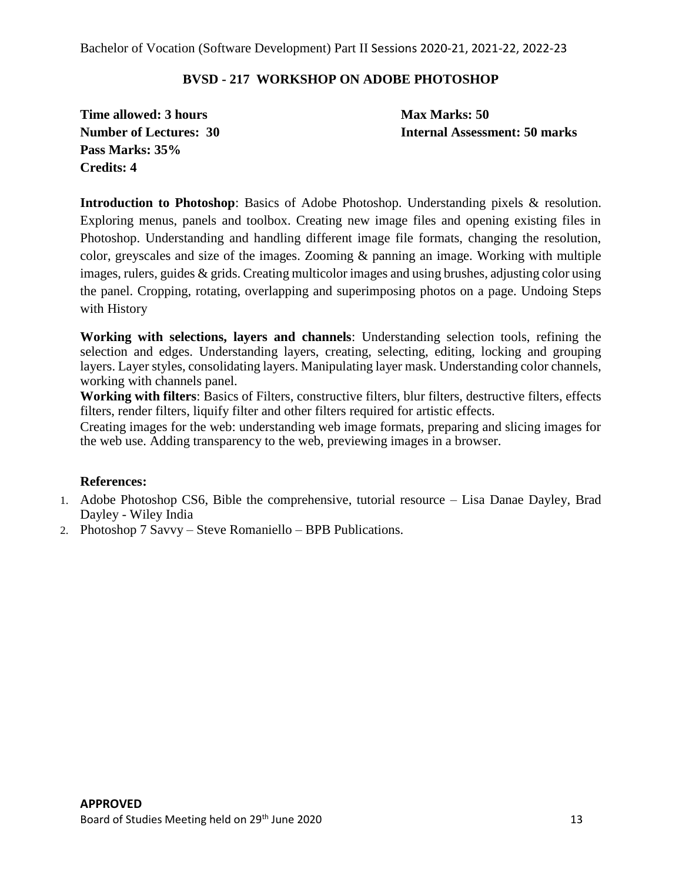#### **BVSD - 217 WORKSHOP ON ADOBE PHOTOSHOP**

**Time allowed: 3 hours Max Marks: 50 Pass Marks: 35% Credits: 4**

**Number of Lectures: 30 Internal Assessment: 50 marks**

**Introduction to Photoshop**: Basics of Adobe Photoshop. Understanding pixels & resolution. Exploring menus, panels and toolbox. Creating new image files and opening existing files in Photoshop. Understanding and handling different image file formats, changing the resolution, color, greyscales and size of the images. Zooming & panning an image. Working with multiple images, rulers, guides & grids. Creating multicolor images and using brushes, adjusting color using the panel. Cropping, rotating, overlapping and superimposing photos on a page. Undoing Steps with History

**Working with selections, layers and channels**: Understanding selection tools, refining the selection and edges. Understanding layers, creating, selecting, editing, locking and grouping layers. Layer styles, consolidating layers. Manipulating layer mask. Understanding color channels, working with channels panel.

**Working with filters**: Basics of Filters, constructive filters, blur filters, destructive filters, effects filters, render filters, liquify filter and other filters required for artistic effects.

Creating images for the web: understanding web image formats, preparing and slicing images for the web use. Adding transparency to the web, previewing images in a browser.

#### **References:**

- 1. Adobe Photoshop CS6, Bible the comprehensive, tutorial resource Lisa Danae Dayley, Brad Dayley - Wiley India
- 2. Photoshop 7 Savvy Steve Romaniello BPB Publications.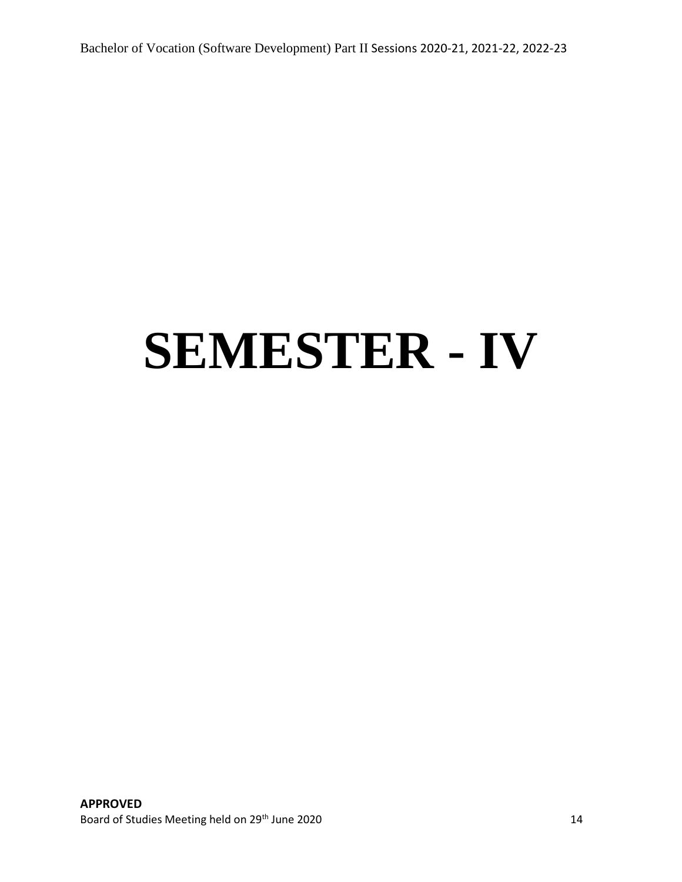# **SEMESTER - IV**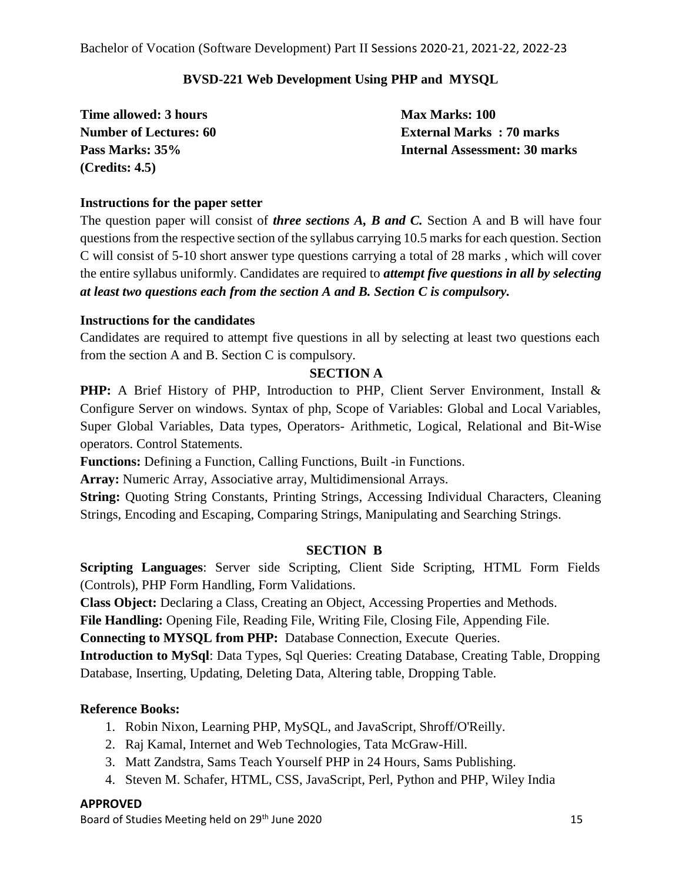#### **BVSD-221 Web Development Using PHP and MYSQL**

**Time allowed: 3 hours Max Marks: 100 (Credits: 4.5)**

**Number of Lectures: 60 External Marks : 70 marks Pass Marks: 35% Internal Assessment: 30 marks**

#### **Instructions for the paper setter**

The question paper will consist of *three sections A, B and C.* Section A and B will have four questions from the respective section of the syllabus carrying 10.5 marks for each question. Section C will consist of 5-10 short answer type questions carrying a total of 28 marks , which will cover the entire syllabus uniformly. Candidates are required to *attempt five questions in all by selecting at least two questions each from the section A and B. Section C is compulsory.*

#### **Instructions for the candidates**

Candidates are required to attempt five questions in all by selecting at least two questions each from the section A and B. Section C is compulsory.

#### **SECTION A**

**PHP:** A Brief History of PHP, Introduction to PHP, Client Server Environment, Install & Configure Server on windows. Syntax of php, Scope of Variables: Global and Local Variables, Super Global Variables, Data types, Operators- Arithmetic, Logical, Relational and Bit-Wise operators. Control Statements.

**Functions:** Defining a Function, Calling Functions, Built -in Functions.

**Array:** Numeric Array, Associative array, Multidimensional Arrays.

**String:** Quoting String Constants, Printing Strings, Accessing Individual Characters, Cleaning Strings, Encoding and Escaping, Comparing Strings, Manipulating and Searching Strings.

#### **SECTION B**

**Scripting Languages**: Server side Scripting, Client Side Scripting, HTML Form Fields (Controls), PHP Form Handling, Form Validations.

**Class Object:** Declaring a Class, Creating an Object, Accessing Properties and Methods.

**File Handling:** Opening File, Reading File, Writing File, Closing File, Appending File.

**Connecting to MYSQL from PHP:** Database Connection, Execute Queries.

**Introduction to MySql**: Data Types, Sql Queries: Creating Database, Creating Table, Dropping Database, Inserting, Updating, Deleting Data, Altering table, Dropping Table.

#### **Reference Books:**

- 1. Robin Nixon, Learning PHP, MySQL, and JavaScript, Shroff/O'Reilly.
- 2. Raj Kamal, Internet and Web Technologies, Tata McGraw-Hill.
- 3. Matt Zandstra, Sams Teach Yourself PHP in 24 Hours, Sams Publishing.
- 4. Steven M. Schafer, HTML, CSS, JavaScript, Perl, Python and PHP, Wiley India

#### **APPROVED**

Board of Studies Meeting held on 29<sup>th</sup> June 2020 15 and the studies of the studies of the studies of the studies of the studies of the studies of the studies of the studies of the studies of the studies of the studies of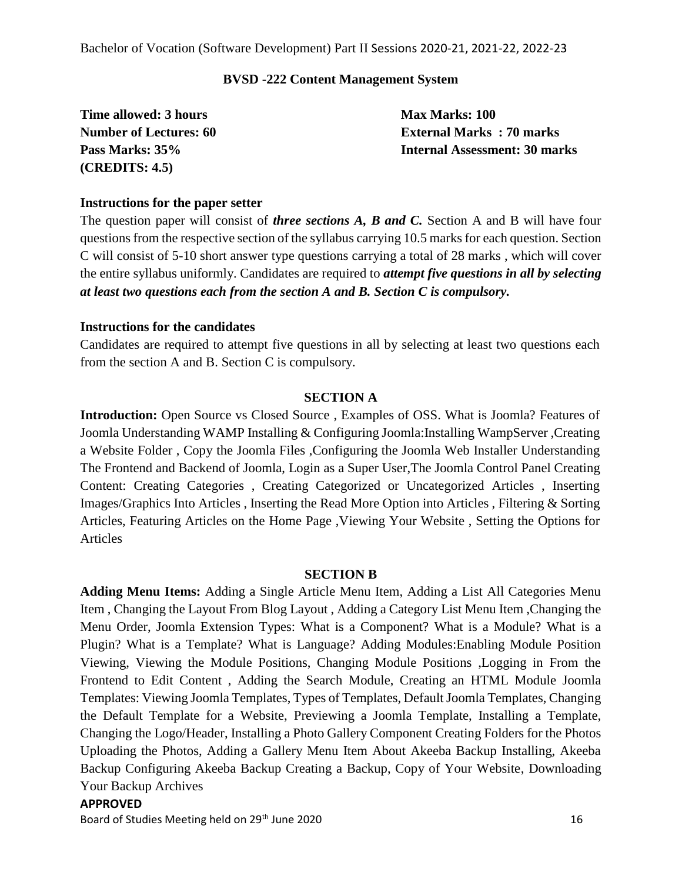#### **BVSD -222 Content Management System**

**Time allowed: 3 hours Max Marks: 100 (CREDITS: 4.5)**

**Number of Lectures: 60 External Marks : 70 marks Pass Marks: 35% Internal Assessment: 30 marks**

#### **Instructions for the paper setter**

The question paper will consist of *three sections A, B and C.* Section A and B will have four questions from the respective section of the syllabus carrying 10.5 marks for each question. Section C will consist of 5-10 short answer type questions carrying a total of 28 marks , which will cover the entire syllabus uniformly. Candidates are required to *attempt five questions in all by selecting at least two questions each from the section A and B. Section C is compulsory.*

#### **Instructions for the candidates**

Candidates are required to attempt five questions in all by selecting at least two questions each from the section A and B. Section C is compulsory.

#### **SECTION A**

**Introduction:** Open Source vs Closed Source, Examples of OSS. What is Joomla? Features of Joomla Understanding WAMP Installing & Configuring Joomla:Installing WampServer ,Creating a Website Folder , Copy the Joomla Files ,Configuring the Joomla Web Installer Understanding The Frontend and Backend of Joomla, Login as a Super User,The Joomla Control Panel Creating Content: Creating Categories , Creating Categorized or Uncategorized Articles , Inserting Images/Graphics Into Articles , Inserting the Read More Option into Articles , Filtering & Sorting Articles, Featuring Articles on the Home Page ,Viewing Your Website , Setting the Options for Articles

#### **SECTION B**

**Adding Menu Items:** Adding a Single Article Menu Item, Adding a List All Categories Menu Item , Changing the Layout From Blog Layout , Adding a Category List Menu Item ,Changing the Menu Order, Joomla Extension Types: What is a Component? What is a Module? What is a Plugin? What is a Template? What is Language? Adding Modules:Enabling Module Position Viewing, Viewing the Module Positions, Changing Module Positions ,Logging in From the Frontend to Edit Content , Adding the Search Module, Creating an HTML Module Joomla Templates: Viewing Joomla Templates, Types of Templates, Default Joomla Templates, Changing the Default Template for a Website, Previewing a Joomla Template, Installing a Template, Changing the Logo/Header, Installing a Photo Gallery Component Creating Folders for the Photos Uploading the Photos, Adding a Gallery Menu Item About Akeeba Backup Installing, Akeeba Backup Configuring Akeeba Backup Creating a Backup, Copy of Your Website, Downloading Your Backup Archives

#### **APPROVED**

Board of Studies Meeting held on 29<sup>th</sup> June 2020 16 and the studies of the studies of the studies of the studies of the studies of the studies of the studies of the studies of the studies of the studies of the studies of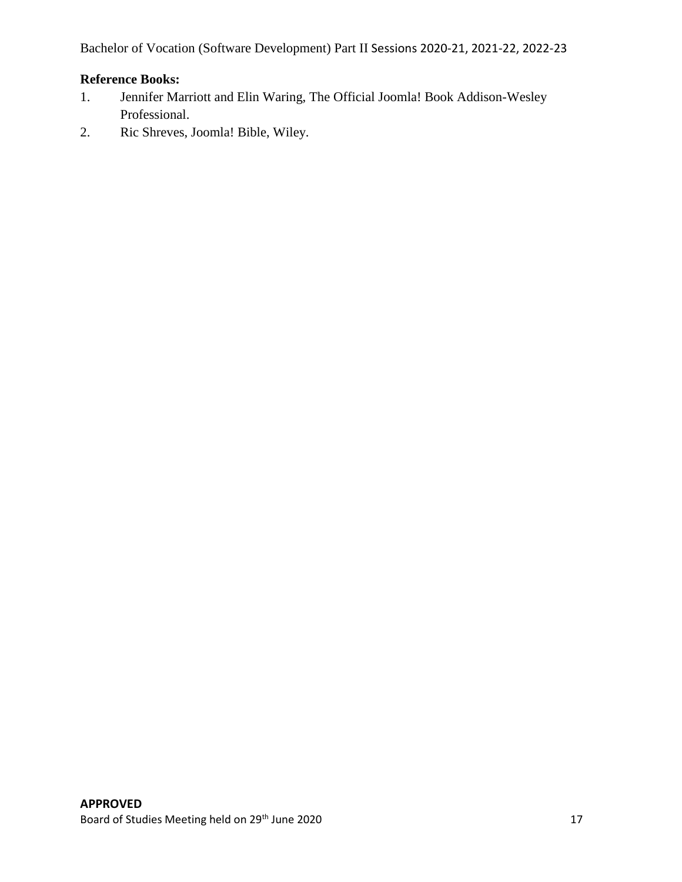#### **Reference Books:**

- 1. Jennifer Marriott and Elin Waring, The Official Joomla! Book Addison-Wesley Professional.
- 2. Ric Shreves, Joomla! Bible, Wiley.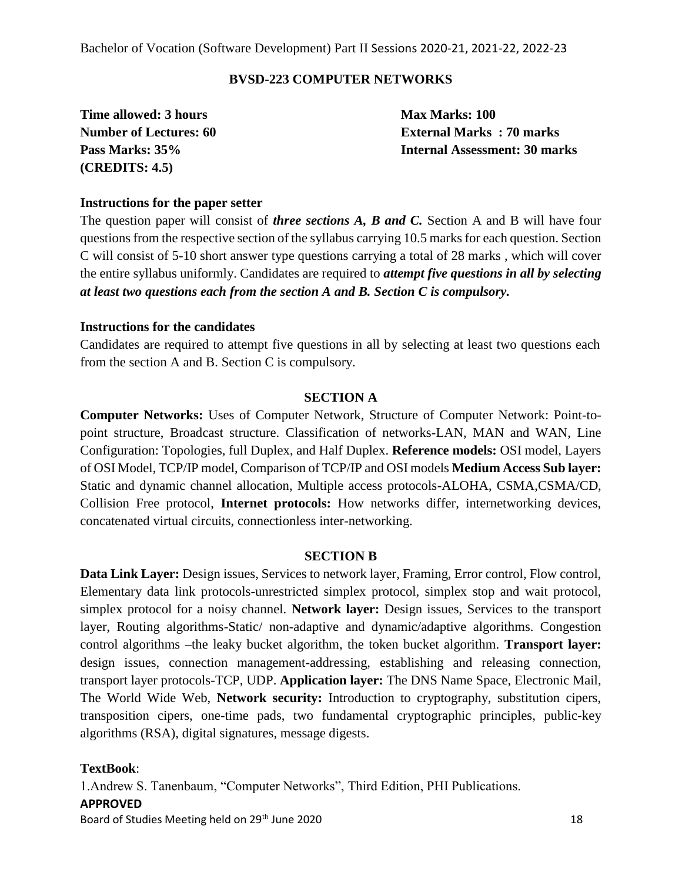#### **BVSD-223 COMPUTER NETWORKS**

**Time allowed: 3 hours Max Marks: 100 (CREDITS: 4.5)**

**Number of Lectures: 60 External Marks : 70 marks Pass Marks: 35% Internal Assessment: 30 marks**

#### **Instructions for the paper setter**

The question paper will consist of *three sections A, B and C.* Section A and B will have four questions from the respective section of the syllabus carrying 10.5 marks for each question. Section C will consist of 5-10 short answer type questions carrying a total of 28 marks , which will cover the entire syllabus uniformly. Candidates are required to *attempt five questions in all by selecting at least two questions each from the section A and B. Section C is compulsory.*

#### **Instructions for the candidates**

Candidates are required to attempt five questions in all by selecting at least two questions each from the section A and B. Section C is compulsory.

#### **SECTION A**

**Computer Networks:** Uses of Computer Network, Structure of Computer Network: Point-topoint structure, Broadcast structure. Classification of networks-LAN, MAN and WAN, Line Configuration: Topologies, full Duplex, and Half Duplex. **Reference models:** OSI model, Layers of OSI Model, TCP/IP model, Comparison of TCP/IP and OSI models **Medium Access Sub layer:** Static and dynamic channel allocation, Multiple access protocols-ALOHA, CSMA,CSMA/CD, Collision Free protocol, **Internet protocols:** How networks differ, internetworking devices, concatenated virtual circuits, connectionless inter-networking.

#### **SECTION B**

**Data Link Layer:** Design issues, Services to network layer, Framing, Error control, Flow control, Elementary data link protocols-unrestricted simplex protocol, simplex stop and wait protocol, simplex protocol for a noisy channel. **Network layer:** Design issues, Services to the transport layer, Routing algorithms-Static/ non-adaptive and dynamic/adaptive algorithms. Congestion control algorithms –the leaky bucket algorithm, the token bucket algorithm. **Transport layer:** design issues, connection management-addressing, establishing and releasing connection, transport layer protocols-TCP, UDP. **Application layer:** The DNS Name Space, Electronic Mail, The World Wide Web, **Network security:** Introduction to cryptography, substitution cipers, transposition cipers, one-time pads, two fundamental cryptographic principles, public-key algorithms (RSA), digital signatures, message digests.

**TextBook**:

1.Andrew S. Tanenbaum, "Computer Networks", Third Edition, PHI Publications.

#### **APPROVED**

Board of Studies Meeting held on 29<sup>th</sup> June 2020 18 and the studies of the studies of the studies of the studies of the studies of the studies of the studies of the studies of the studies of the studies of the studies of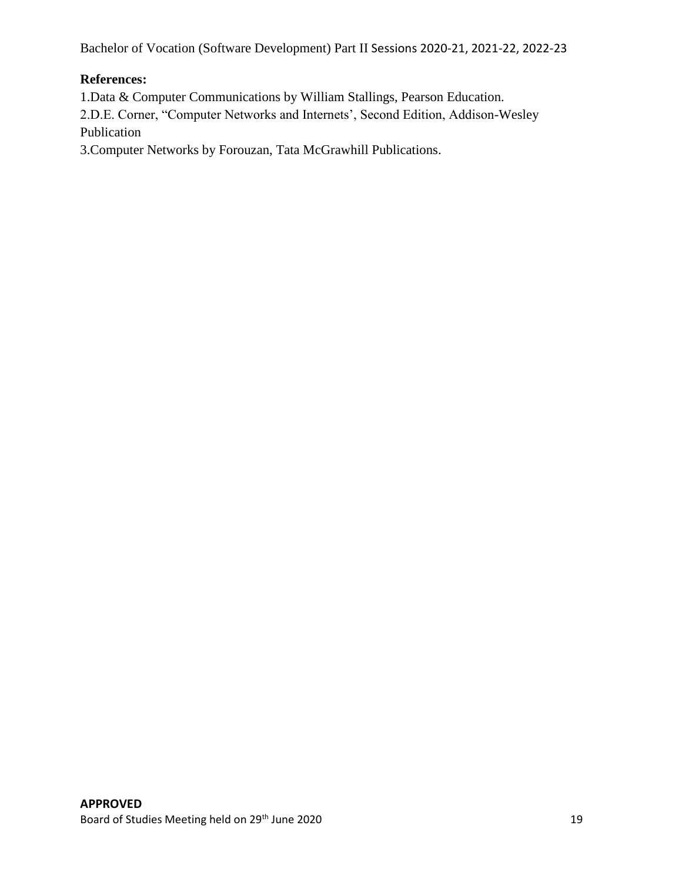#### **References:**

1.Data & Computer Communications by William Stallings, Pearson Education.

2.D.E. Corner, "Computer Networks and Internets', Second Edition, Addison-Wesley Publication

3.Computer Networks by Forouzan, Tata McGrawhill Publications.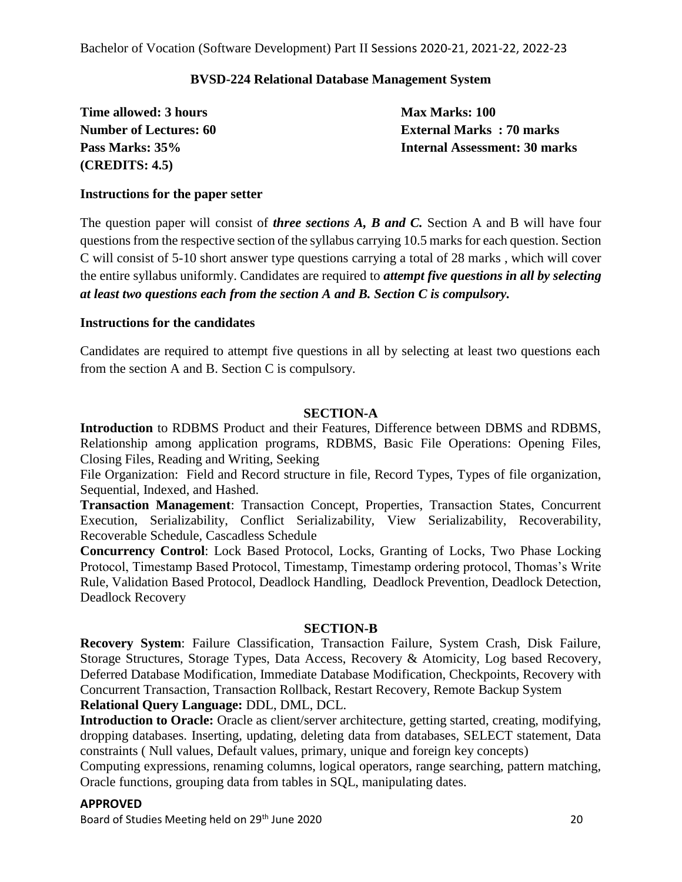#### **BVSD-224 Relational Database Management System**

**Time allowed: 3 hours Max Marks: 100 (CREDITS: 4.5)**

**Number of Lectures: 60 External Marks : 70 marks Pass Marks: 35% Internal Assessment: 30 marks**

#### **Instructions for the paper setter**

The question paper will consist of *three sections A, B and C.* Section A and B will have four questions from the respective section of the syllabus carrying 10.5 marks for each question. Section C will consist of 5-10 short answer type questions carrying a total of 28 marks , which will cover the entire syllabus uniformly. Candidates are required to *attempt five questions in all by selecting at least two questions each from the section A and B. Section C is compulsory.*

#### **Instructions for the candidates**

Candidates are required to attempt five questions in all by selecting at least two questions each from the section A and B. Section C is compulsory.

#### **SECTION-A**

**Introduction** to RDBMS Product and their Features, Difference between DBMS and RDBMS, Relationship among application programs, RDBMS, Basic File Operations: Opening Files, Closing Files, Reading and Writing, Seeking

File Organization: Field and Record structure in file, Record Types, Types of file organization, Sequential, Indexed, and Hashed.

**Transaction Management**: Transaction Concept, Properties, Transaction States, Concurrent Execution, Serializability, Conflict Serializability, View Serializability, Recoverability, Recoverable Schedule, Cascadless Schedule

**Concurrency Control**: Lock Based Protocol, Locks, Granting of Locks, Two Phase Locking Protocol, Timestamp Based Protocol, Timestamp, Timestamp ordering protocol, Thomas's Write Rule, Validation Based Protocol, Deadlock Handling, Deadlock Prevention, Deadlock Detection, Deadlock Recovery

#### **SECTION-B**

**Recovery System**: Failure Classification, Transaction Failure, System Crash, Disk Failure, Storage Structures, Storage Types, Data Access, Recovery & Atomicity, Log based Recovery, Deferred Database Modification, Immediate Database Modification, Checkpoints, Recovery with Concurrent Transaction, Transaction Rollback, Restart Recovery, Remote Backup System **Relational Query Language:** DDL, DML, DCL.

**Introduction to Oracle:** Oracle as client/server architecture, getting started, creating, modifying, dropping databases. Inserting, updating, deleting data from databases, SELECT statement, Data constraints ( Null values, Default values, primary, unique and foreign key concepts)

Computing expressions, renaming columns, logical operators, range searching, pattern matching, Oracle functions, grouping data from tables in SQL, manipulating dates.

#### **APPROVED**

Board of Studies Meeting held on 29<sup>th</sup> June 2020 **2018** 2020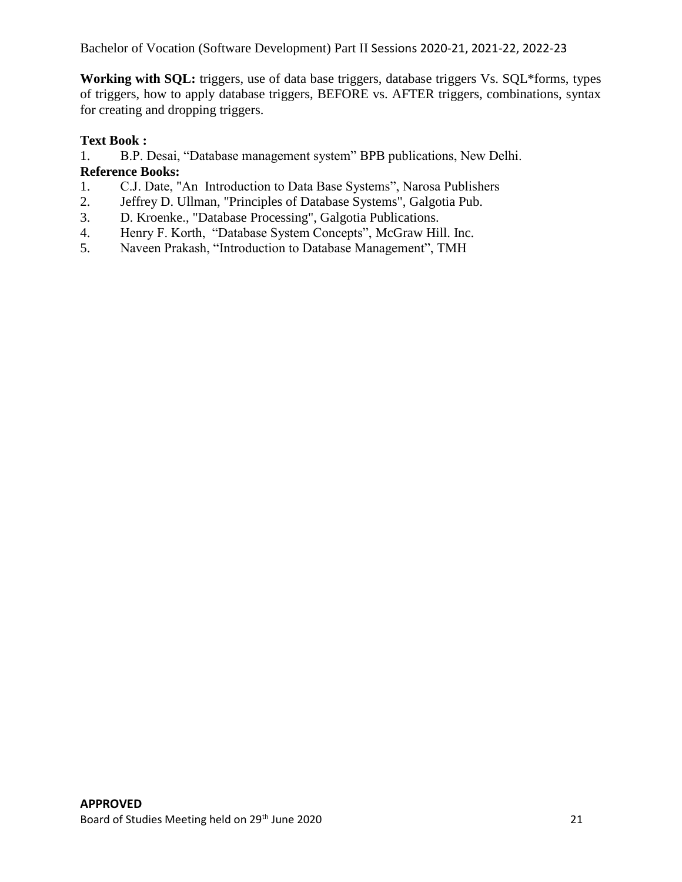**Working with SQL:** triggers, use of data base triggers, database triggers Vs. SQL\*forms, types of triggers, how to apply database triggers, BEFORE vs. AFTER triggers, combinations, syntax for creating and dropping triggers.

#### **Text Book :**

1. B.P. Desai, "Database management system" BPB publications, New Delhi.

#### **Reference Books:**

- 1. C.J. Date, "An Introduction to Data Base Systems", Narosa Publishers
- 2. Jeffrey D. Ullman, "Principles of Database Systems", Galgotia Pub.
- 3. D. Kroenke., "Database Processing", Galgotia Publications.
- 4. Henry F. Korth, "Database System Concepts", McGraw Hill. Inc.
- 5. Naveen Prakash, "Introduction to Database Management", TMH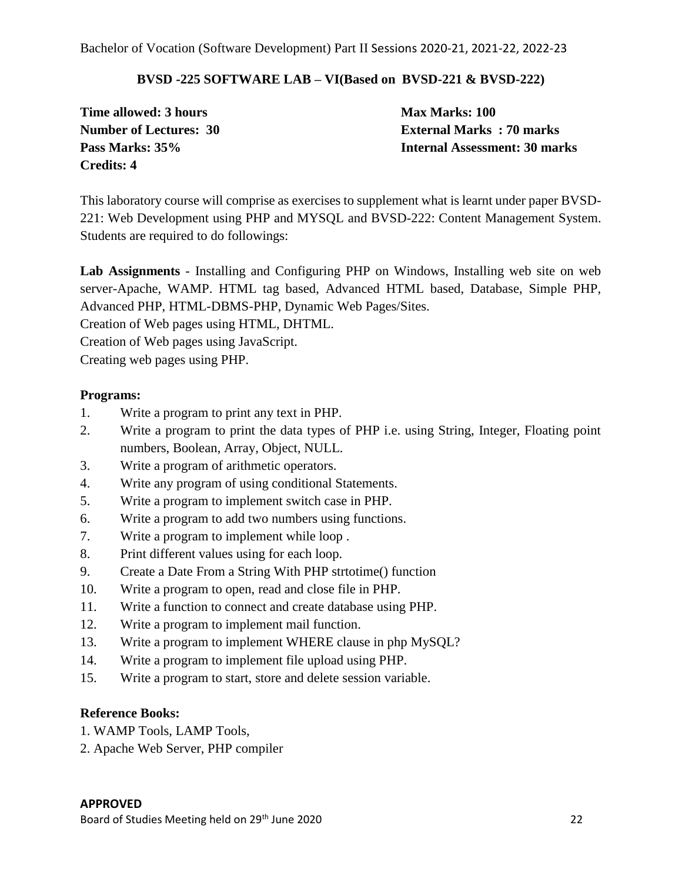#### **BVSD -225 SOFTWARE LAB – VI(Based on BVSD-221 & BVSD-222)**

**Time allowed: 3 hours Max Marks: 100 Credits: 4**

**Number of Lectures: 30 External Marks : 70 marks Pass Marks: 35% Internal Assessment: 30 marks**

This laboratory course will comprise as exercises to supplement what is learnt under paper BVSD-221: Web Development using PHP and MYSQL and BVSD-222: Content Management System. Students are required to do followings:

**Lab Assignments** - Installing and Configuring PHP on Windows, Installing web site on web server-Apache, WAMP. HTML tag based, Advanced HTML based, Database, Simple PHP, Advanced PHP, HTML-DBMS-PHP, Dynamic Web Pages/Sites.

Creation of Web pages using HTML, DHTML.

Creation of Web pages using JavaScript.

Creating web pages using PHP.

#### **Programs:**

- 1. Write a program to print any text in PHP.
- 2. Write a program to print the data types of PHP i.e. using String, Integer, Floating point numbers, Boolean, Array, Object, NULL.
- 3. Write a program of arithmetic operators.
- 4. Write any program of using conditional Statements.
- 5. Write a program to implement switch case in PHP.
- 6. Write a program to add two numbers using functions.
- 7. Write a program to implement while loop .
- 8. Print different values using for each loop.
- 9. Create a Date From a String With PHP strtotime() function
- 10. Write a program to open, read and close file in PHP.
- 11. Write a function to connect and create database using PHP.
- 12. Write a program to implement mail function.
- 13. Write a program to implement WHERE clause in php MySQL?
- 14. Write a program to implement file upload using PHP.
- 15. Write a program to start, store and delete session variable.

#### **Reference Books:**

- 1. WAMP Tools, LAMP Tools,
- 2. Apache Web Server, PHP compiler

#### **APPROVED**

Board of Studies Meeting held on 29<sup>th</sup> June 2020 **22** 22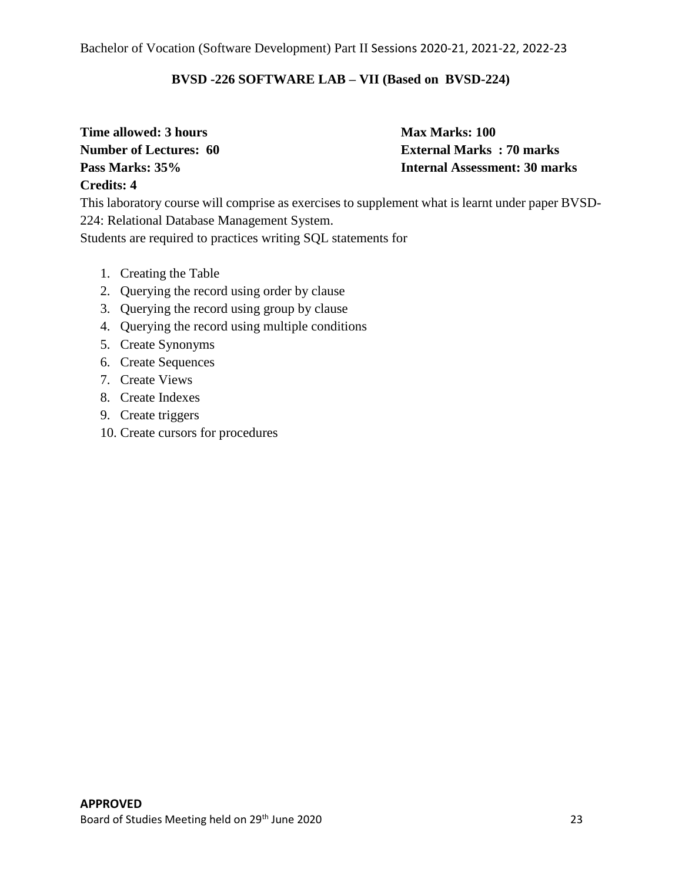#### **BVSD -226 SOFTWARE LAB – VII (Based on BVSD-224)**

**Time allowed: 3 hours Max Marks: 100 Credits: 4**

**Number of Lectures: 60 External Marks : 70 marks Pass Marks: 35% Internal Assessment: 30 marks**

This laboratory course will comprise as exercises to supplement what is learnt under paper BVSD-224: Relational Database Management System. Students are required to practices writing SQL statements for

- 1. Creating the Table
- 2. Querying the record using order by clause
- 3. Querying the record using group by clause
- 4. Querying the record using multiple conditions
- 5. Create Synonyms
- 6. Create Sequences
- 7. Create Views
- 8. Create Indexes
- 9. Create triggers
- 10. Create cursors for procedures